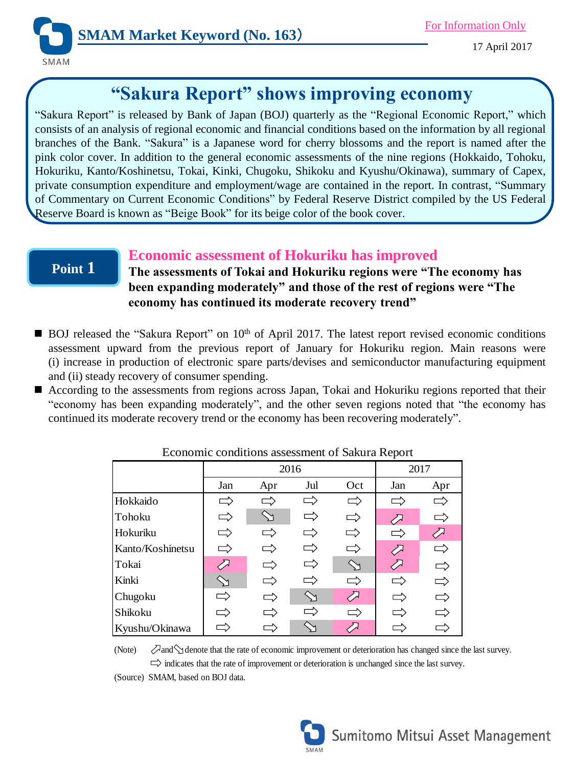

# **"Sakura Report" shows improving economy**

"Sakura Report" is released by Bank of Japan (BOJ) quarterly as the "Regional Economic Report," which consists of an analysis of regional economic and financial conditions based on the information by all regional branches of the Bank. "Sakura" is a Japanese word for cherry blossoms and the report is named after the pink color cover. In addition to the general economic assessments of the nine regions (Hokkaido, Tohoku, Hokuriku, Kanto/Koshinetsu, Tokai, Kinki, Chugoku, Shikoku and Kyushu/Okinawa), summary of Capex, private consumption expenditure and employment/wage are contained in the report. In contrast, "Summary of Commentary on Current Economic Conditions" by Federal Reserve District compiled by the US Federal Reserve Board is known as "Beige Book" for its beige color of the book cover.

# **Point 1**

## **Economic assessment of Hokuriku has improved**

**The assessments of Tokai and Hokuriku regions were "The economy has been expanding moderately" and those of the rest of regions were "The economy has continued its moderate recovery trend"**

- BOJ released the "Sakura Report" on 10<sup>th</sup> of April 2017. The latest report revised economic conditions assessment upward from the previous report of January for Hokuriku region. Main reasons were (i) increase in production of electronic spare parts/devises and semiconductor manufacturing equipment and (ii) steady recovery of consumer spending.
- According to the assessments from regions across Japan, Tokai and Hokuriku regions reported that their "economy has been expanding moderately", and the other seven regions noted that "the economy has continued its moderate recovery trend or the economy has been recovering moderately".

| Leononne conditions assessment of bakara Report |               |               |                            |               |      |          |
|-------------------------------------------------|---------------|---------------|----------------------------|---------------|------|----------|
|                                                 | 2016          |               |                            |               | 2017 |          |
|                                                 | Jan           | Apr           | Jul                        | Oct           | Jan  | Apr      |
| Hokkaido                                        | $\equiv$      | $\rightarrow$ | $\overbrace{\phantom{aa}}$ | $\Rightarrow$ |      | $\equiv$ |
| Tohoku                                          | $\Rightarrow$ |               | T,                         |               |      | $\equiv$ |
| Hokuriku                                        | ⋍             |               |                            |               | ┍    |          |
| Kanto/Koshinetsu                                | $\equiv$      |               | Τ                          |               |      | Ξ        |
| Tokai                                           | ∕⊼            |               | 二                          | $\searrow$    |      | ー        |
| Kinki                                           |               |               | $\equiv$                   | Ξ             | ᆖ    | $=$      |
| Chugoku                                         | →             |               |                            |               |      |          |
| Shikoku                                         |               |               | $\Rightarrow$              | $\Rightarrow$ |      |          |
| Kyushu/Okinawa                                  |               |               |                            |               |      |          |

Economic conditions assessment of Sakura Report

(Note)  $\oslash$  and  $\diagdown$  denote that the rate of economic improvement or deterioration has changed since the last survey.  $\Rightarrow$  indicates that the rate of improvement or deterioration is unchanged since the last survey.

(Source) SMAM, based on BOJ data.